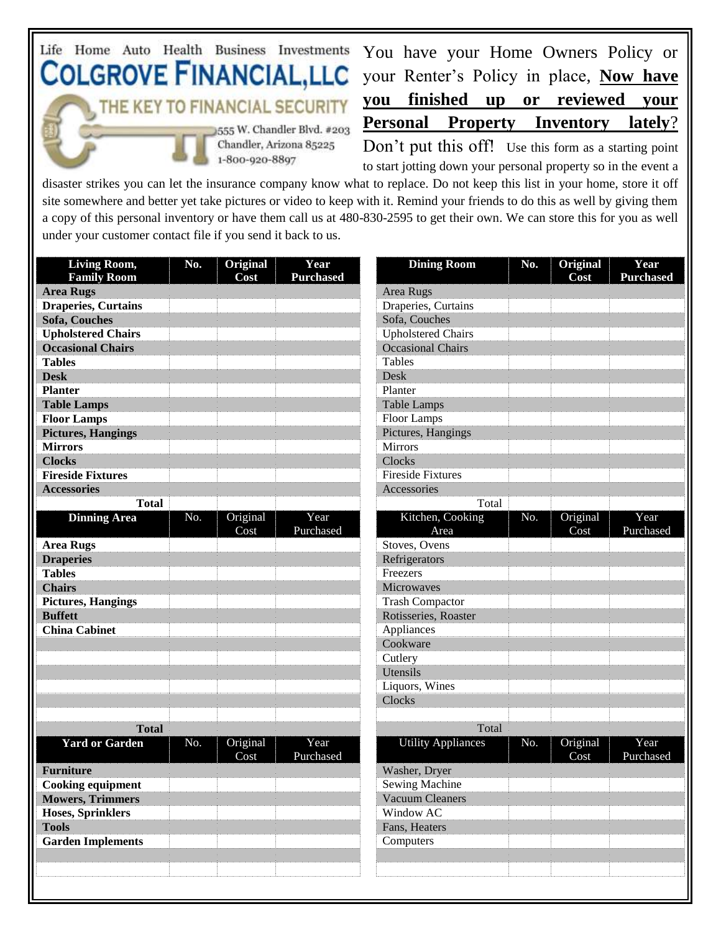## Life Home Auto Health Business Investments **COLGROVE FINANCIAL,LLC** THE KEY TO FINANCIAL SECURITY 555 W. Chandler Blvd. #203 Chandler, Arizona 85225

1-800-920-8897

You have your Home Owners Policy or your Renter's Policy in place, **Now have you finished up or reviewed your Personal Property Inventory lately**? Don't put this off! Use this form as a starting point

to start jotting down your personal property so in the event a

disaster strikes you can let the insurance company know what to replace. Do not keep this list in your home, store it off site somewhere and better yet take pictures or video to keep with it. Remind your friends to do this as well by giving them a copy of this personal inventory or have them call us at 480-830-2595 to get their own. We can store this for you as well under your customer contact file if you send it back to us.

| <b>Living Room,</b>        | No. | Original | Year             | <b>Dining Room</b>        | No. | Original | Year             |
|----------------------------|-----|----------|------------------|---------------------------|-----|----------|------------------|
| <b>Family Room</b>         |     | Cost     | <b>Purchased</b> |                           |     | Cost     | <b>Purchased</b> |
| <b>Area Rugs</b>           |     |          |                  | Area Rugs                 |     |          |                  |
| <b>Draperies, Curtains</b> |     |          |                  | Draperies, Curtains       |     |          |                  |
| Sofa, Couches              |     |          |                  | Sofa, Couches             |     |          |                  |
| <b>Upholstered Chairs</b>  |     |          |                  | <b>Upholstered Chairs</b> |     |          |                  |
| <b>Occasional Chairs</b>   |     |          |                  | <b>Occasional Chairs</b>  |     |          |                  |
| <b>Tables</b>              |     |          |                  | <b>Tables</b>             |     |          |                  |
| <b>Desk</b>                |     |          |                  | Desk                      |     |          |                  |
| <b>Planter</b>             |     |          |                  | Planter                   |     |          |                  |
| <b>Table Lamps</b>         |     |          |                  | <b>Table Lamps</b>        |     |          |                  |
| <b>Floor Lamps</b>         |     |          |                  | Floor Lamps               |     |          |                  |
| <b>Pictures, Hangings</b>  |     |          |                  | Pictures, Hangings        |     |          |                  |
| <b>Mirrors</b>             |     |          |                  | Mirrors                   |     |          |                  |
| <b>Clocks</b>              |     |          |                  | Clocks                    |     |          |                  |
| <b>Fireside Fixtures</b>   |     |          |                  | <b>Fireside Fixtures</b>  |     |          |                  |
| <b>Accessories</b>         |     |          |                  | Accessories               |     |          |                  |
| <b>Total</b>               |     |          |                  | Total                     |     |          |                  |
| <b>Dinning Area</b>        | No. | Original | Year             | Kitchen, Cooking          | No. | Original | Year             |
|                            |     | Cost     | Purchased        | Area                      |     | Cost     | Purchased        |
| <b>Area Rugs</b>           |     |          |                  | Stoves, Ovens             |     |          |                  |
| <b>Draperies</b>           |     |          |                  | Refrigerators             |     |          |                  |
| <b>Tables</b>              |     |          |                  | Freezers                  |     |          |                  |
| <b>Chairs</b>              |     |          |                  | Microwaves                |     |          |                  |
| <b>Pictures, Hangings</b>  |     |          |                  | <b>Trash Compactor</b>    |     |          |                  |
| <b>Buffett</b>             |     |          |                  | Rotisseries, Roaster      |     |          |                  |
| <b>China Cabinet</b>       |     |          |                  | Appliances                |     |          |                  |
|                            |     |          |                  | Cookware                  |     |          |                  |
|                            |     |          |                  | Cutlery                   |     |          |                  |
|                            |     |          |                  | Utensils                  |     |          |                  |
|                            |     |          |                  | Liquors, Wines            |     |          |                  |
|                            |     |          |                  | Clocks                    |     |          |                  |
|                            |     |          |                  |                           |     |          |                  |
| <b>Total</b>               |     |          |                  | Total                     |     |          |                  |
| <b>Yard or Garden</b>      | No. | Original | Year             | <b>Utility Appliances</b> | No. | Original | Year             |
|                            |     | Cost     | Purchased        |                           |     | Cost     | Purchased        |
| <b>Furniture</b>           |     |          |                  | Washer, Dryer             |     |          |                  |
| <b>Cooking equipment</b>   |     |          |                  | Sewing Machine            |     |          |                  |
| <b>Mowers, Trimmers</b>    |     |          |                  | <b>Vacuum Cleaners</b>    |     |          |                  |
| Hoses, Sprinklers          |     |          |                  | Window AC                 |     |          |                  |
| <b>Tools</b>               |     |          |                  | Fans, Heaters             |     |          |                  |
| <b>Garden Implements</b>   |     |          |                  | Computers                 |     |          |                  |
|                            |     |          |                  |                           |     |          |                  |
|                            |     |          |                  |                           |     |          |                  |
|                            |     |          |                  |                           |     |          |                  |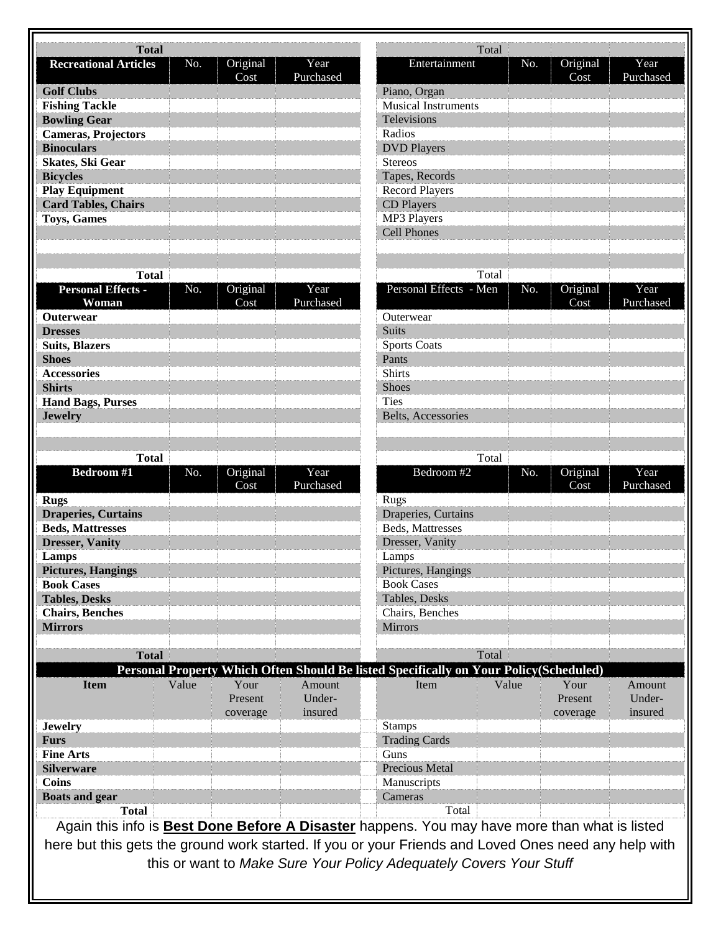| <b>Total</b>                                                                                         |       |                  |                   |                                                                                                      | Total |     |                  |                   |
|------------------------------------------------------------------------------------------------------|-------|------------------|-------------------|------------------------------------------------------------------------------------------------------|-------|-----|------------------|-------------------|
| <b>Recreational Articles</b>                                                                         | No.   | Original         | Year              | Entertainment                                                                                        |       | No. | Original         | Year              |
|                                                                                                      |       | Cost             | Purchased         |                                                                                                      |       |     | Cost             | Purchased         |
| <b>Golf Clubs</b>                                                                                    |       |                  |                   | Piano, Organ                                                                                         |       |     |                  |                   |
| <b>Fishing Tackle</b>                                                                                |       |                  |                   | <b>Musical Instruments</b>                                                                           |       |     |                  |                   |
| <b>Bowling Gear</b>                                                                                  |       |                  |                   | Televisions                                                                                          |       |     |                  |                   |
| <b>Cameras, Projectors</b>                                                                           |       |                  |                   | Radios                                                                                               |       |     |                  |                   |
| <b>Binoculars</b>                                                                                    |       |                  |                   | <b>DVD Players</b>                                                                                   |       |     |                  |                   |
| <b>Skates, Ski Gear</b>                                                                              |       |                  |                   | <b>Stereos</b>                                                                                       |       |     |                  |                   |
| <b>Bicycles</b>                                                                                      |       |                  |                   | Tapes, Records                                                                                       |       |     |                  |                   |
| <b>Play Equipment</b>                                                                                |       |                  |                   | <b>Record Players</b>                                                                                |       |     |                  |                   |
| <b>Card Tables, Chairs</b>                                                                           |       |                  |                   | CD Players                                                                                           |       |     |                  |                   |
| <b>Toys, Games</b>                                                                                   |       |                  |                   | MP3 Players                                                                                          |       |     |                  |                   |
|                                                                                                      |       |                  |                   | <b>Cell Phones</b>                                                                                   |       |     |                  |                   |
|                                                                                                      |       |                  |                   |                                                                                                      |       |     |                  |                   |
|                                                                                                      |       |                  |                   |                                                                                                      |       |     |                  |                   |
| <b>Total</b>                                                                                         |       |                  |                   |                                                                                                      | Total |     |                  |                   |
| Personal Effects -<br>Woman                                                                          | No.   | Original<br>Cost | Year<br>Purchased | Personal Effects - Men                                                                               |       | No. | Original<br>Cost | Year<br>Purchased |
| <b>Outerwear</b>                                                                                     |       |                  |                   | Outerwear                                                                                            |       |     |                  |                   |
| <b>Dresses</b>                                                                                       |       |                  |                   | <b>Suits</b>                                                                                         |       |     |                  |                   |
| <b>Suits, Blazers</b>                                                                                |       |                  |                   | <b>Sports Coats</b>                                                                                  |       |     |                  |                   |
| <b>Shoes</b>                                                                                         |       |                  |                   | Pants                                                                                                |       |     |                  |                   |
| <b>Accessories</b>                                                                                   |       |                  |                   | <b>Shirts</b>                                                                                        |       |     |                  |                   |
| <b>Shirts</b>                                                                                        |       |                  |                   | Shoes                                                                                                |       |     |                  |                   |
| <b>Hand Bags, Purses</b>                                                                             |       |                  |                   | <b>Ties</b>                                                                                          |       |     |                  |                   |
| <b>Jewelry</b>                                                                                       |       |                  |                   | Belts, Accessories                                                                                   |       |     |                  |                   |
|                                                                                                      |       |                  |                   |                                                                                                      |       |     |                  |                   |
|                                                                                                      |       |                  |                   |                                                                                                      |       |     |                  |                   |
| <b>Total</b>                                                                                         |       |                  |                   |                                                                                                      | Total |     |                  |                   |
| <b>Bedroom#1</b>                                                                                     | No.   | Original         | Year              | Bedroom #2                                                                                           |       | No. | Original         | Year              |
|                                                                                                      |       | Cost             | Purchased         |                                                                                                      |       |     | Cost             | Purchased         |
| <b>Rugs</b>                                                                                          |       |                  |                   | <b>Rugs</b>                                                                                          |       |     |                  |                   |
| <b>Draperies, Curtains</b>                                                                           |       |                  |                   | Draperies, Curtains                                                                                  |       |     |                  |                   |
| <b>Beds, Mattresses</b>                                                                              |       |                  |                   | Beds, Mattresses                                                                                     |       |     |                  |                   |
| <b>Dresser</b> , Vanity                                                                              |       |                  |                   | Dresser, Vanity                                                                                      |       |     |                  |                   |
| Lamps                                                                                                |       |                  |                   | Lamps                                                                                                |       |     |                  |                   |
| <b>Pictures, Hangings</b>                                                                            |       |                  |                   | Pictures, Hangings                                                                                   |       |     |                  |                   |
| <b>Book Cases</b>                                                                                    |       |                  |                   | <b>Book Cases</b>                                                                                    |       |     |                  |                   |
| <b>Tables, Desks</b>                                                                                 |       |                  |                   | Tables, Desks                                                                                        |       |     |                  |                   |
| <b>Chairs</b> , Benches                                                                              |       |                  |                   | Chairs, Benches                                                                                      |       |     |                  |                   |
| <b>Mirrors</b>                                                                                       |       |                  |                   | Mirrors                                                                                              |       |     |                  |                   |
|                                                                                                      |       |                  |                   |                                                                                                      |       |     |                  |                   |
| <b>Total</b>                                                                                         |       |                  |                   |                                                                                                      | Total |     |                  |                   |
|                                                                                                      |       |                  |                   |                                                                                                      |       |     |                  |                   |
|                                                                                                      |       |                  |                   | Personal Property Which Often Should Be listed Specifically on Your Policy(Scheduled)                |       |     |                  |                   |
| <b>Item</b>                                                                                          | Value | Your             | Amount<br>Under-  | Item                                                                                                 | Value |     | Your<br>Present  | Amount<br>Under-  |
|                                                                                                      |       | Present          |                   |                                                                                                      |       |     |                  |                   |
|                                                                                                      |       | coverage         | insured           |                                                                                                      |       |     | coverage         | insured           |
| <b>Jewelry</b>                                                                                       |       |                  |                   | <b>Stamps</b>                                                                                        |       |     |                  |                   |
| <b>Furs</b>                                                                                          |       |                  |                   | <b>Trading Cards</b>                                                                                 |       |     |                  |                   |
| <b>Fine Arts</b>                                                                                     |       |                  |                   | Guns                                                                                                 |       |     |                  |                   |
| <b>Silverware</b>                                                                                    |       |                  |                   | Precious Metal                                                                                       |       |     |                  |                   |
| Coins                                                                                                |       |                  |                   | Manuscripts                                                                                          |       |     |                  |                   |
| <b>Boats and gear</b>                                                                                |       |                  |                   | Cameras                                                                                              |       |     |                  |                   |
| <b>Total</b>                                                                                         |       |                  |                   | Total                                                                                                |       |     |                  |                   |
|                                                                                                      |       |                  |                   | Again this info is <b>Best Done Before A Disaster</b> happens. You may have more than what is listed |       |     |                  |                   |
|                                                                                                      |       |                  |                   |                                                                                                      |       |     |                  |                   |
| here but this gets the ground work started. If you or your Friends and Loved Ones need any help with |       |                  |                   |                                                                                                      |       |     |                  |                   |
| this or want to Make Sure Your Policy Adequately Covers Your Stuff                                   |       |                  |                   |                                                                                                      |       |     |                  |                   |